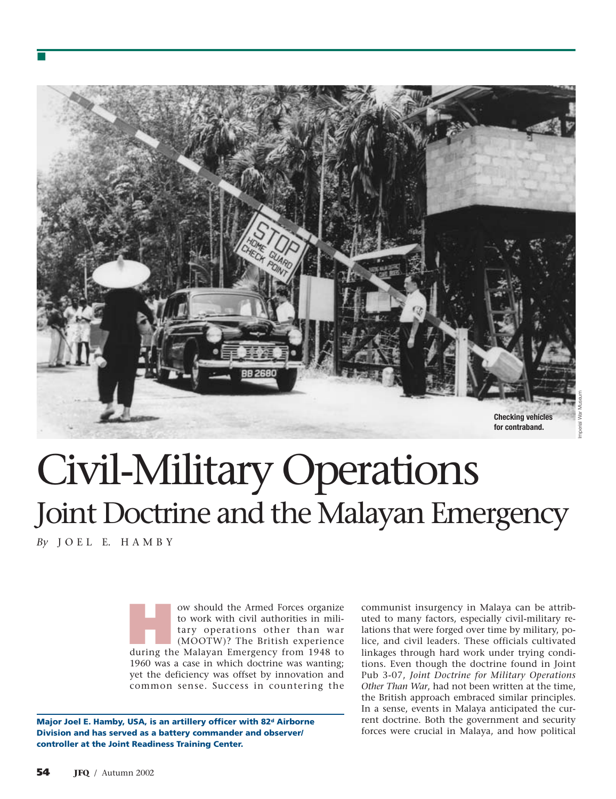

# Civil-Military Operations Joint Doctrine and the Malayan Emergency

*By* J O E L E. H A M B Y

■

**How should the Armed Forces organize**<br>to work with civil authorities in military<br>operations other than war<br>(MOOTW)? The British experience<br>during the Malayan Emergency from 1948 to to work with civil authorities in military operations other than war (MOOTW)? The British experience 1960 was a case in which doctrine was wanting; yet the deficiency was offset by innovation and common sense. Success in countering the

**Major Joel E. Hamby, USA, is an artillery officer with 82d Airborne Division and has served as a battery commander and observer/ controller at the Joint Readiness Training Center.**

communist insurgency in Malaya can be attributed to many factors, especially civil-military relations that were forged over time by military, police, and civil leaders. These officials cultivated linkages through hard work under trying conditions. Even though the doctrine found in Joint Pub 3-07, *Joint Doctrine for Military Operations Other Than War*, had not been written at the time, the British approach embraced similar principles. In a sense, events in Malaya anticipated the current doctrine. Both the government and security forces were crucial in Malaya, and how political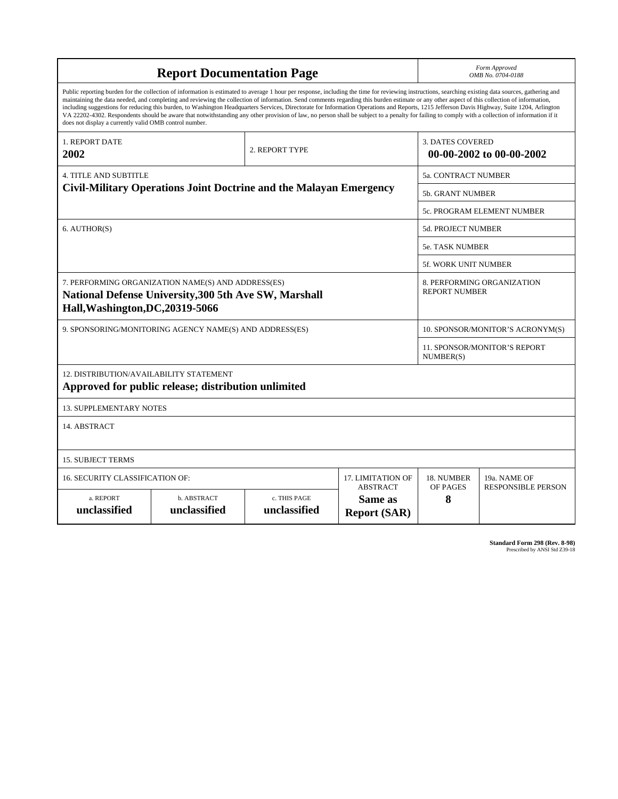|                                                                                                                                                                                                                                                                                                                                                                                                                                                                                                                                                                                                                                                                                                                                                                                                                                                                    |                             |                              |                                                   |                                                     | Form Approved             |  |
|--------------------------------------------------------------------------------------------------------------------------------------------------------------------------------------------------------------------------------------------------------------------------------------------------------------------------------------------------------------------------------------------------------------------------------------------------------------------------------------------------------------------------------------------------------------------------------------------------------------------------------------------------------------------------------------------------------------------------------------------------------------------------------------------------------------------------------------------------------------------|-----------------------------|------------------------------|---------------------------------------------------|-----------------------------------------------------|---------------------------|--|
| <b>Report Documentation Page</b>                                                                                                                                                                                                                                                                                                                                                                                                                                                                                                                                                                                                                                                                                                                                                                                                                                   |                             |                              |                                                   | OMB No. 0704-0188                                   |                           |  |
| Public reporting burden for the collection of information is estimated to average 1 hour per response, including the time for reviewing instructions, searching existing data sources, gathering and<br>maintaining the data needed, and completing and reviewing the collection of information. Send comments regarding this burden estimate or any other aspect of this collection of information,<br>including suggestions for reducing this burden, to Washington Headquarters Services, Directorate for Information Operations and Reports, 1215 Jefferson Davis Highway, Suite 1204, Arlington<br>VA 22202-4302. Respondents should be aware that notwithstanding any other provision of law, no person shall be subject to a penalty for failing to comply with a collection of information if it<br>does not display a currently valid OMB control number. |                             |                              |                                                   |                                                     |                           |  |
| 1. REPORT DATE<br>2002                                                                                                                                                                                                                                                                                                                                                                                                                                                                                                                                                                                                                                                                                                                                                                                                                                             |                             | 2. REPORT TYPE               |                                                   | <b>3. DATES COVERED</b><br>00-00-2002 to 00-00-2002 |                           |  |
| <b>4. TITLE AND SUBTITLE</b>                                                                                                                                                                                                                                                                                                                                                                                                                                                                                                                                                                                                                                                                                                                                                                                                                                       |                             |                              |                                                   | 5a. CONTRACT NUMBER                                 |                           |  |
| Civil-Military Operations Joint Doctrine and the Malayan Emergency                                                                                                                                                                                                                                                                                                                                                                                                                                                                                                                                                                                                                                                                                                                                                                                                 |                             |                              |                                                   | <b>5b. GRANT NUMBER</b>                             |                           |  |
|                                                                                                                                                                                                                                                                                                                                                                                                                                                                                                                                                                                                                                                                                                                                                                                                                                                                    |                             |                              |                                                   | 5c. PROGRAM ELEMENT NUMBER                          |                           |  |
| 6. AUTHOR(S)                                                                                                                                                                                                                                                                                                                                                                                                                                                                                                                                                                                                                                                                                                                                                                                                                                                       |                             |                              |                                                   | 5d. PROJECT NUMBER                                  |                           |  |
|                                                                                                                                                                                                                                                                                                                                                                                                                                                                                                                                                                                                                                                                                                                                                                                                                                                                    |                             |                              |                                                   | <b>5e. TASK NUMBER</b>                              |                           |  |
|                                                                                                                                                                                                                                                                                                                                                                                                                                                                                                                                                                                                                                                                                                                                                                                                                                                                    |                             |                              |                                                   | 5f. WORK UNIT NUMBER                                |                           |  |
| 7. PERFORMING ORGANIZATION NAME(S) AND ADDRESS(ES)<br>National Defense University, 300 5th Ave SW, Marshall<br>Hall, Washington, DC, 20319-5066                                                                                                                                                                                                                                                                                                                                                                                                                                                                                                                                                                                                                                                                                                                    |                             |                              |                                                   | 8. PERFORMING ORGANIZATION<br><b>REPORT NUMBER</b>  |                           |  |
| 9. SPONSORING/MONITORING AGENCY NAME(S) AND ADDRESS(ES)                                                                                                                                                                                                                                                                                                                                                                                                                                                                                                                                                                                                                                                                                                                                                                                                            |                             |                              |                                                   | 10. SPONSOR/MONITOR'S ACRONYM(S)                    |                           |  |
|                                                                                                                                                                                                                                                                                                                                                                                                                                                                                                                                                                                                                                                                                                                                                                                                                                                                    |                             |                              |                                                   | 11. SPONSOR/MONITOR'S REPORT<br>NUMBER(S)           |                           |  |
| 12. DISTRIBUTION/AVAILABILITY STATEMENT<br>Approved for public release; distribution unlimited                                                                                                                                                                                                                                                                                                                                                                                                                                                                                                                                                                                                                                                                                                                                                                     |                             |                              |                                                   |                                                     |                           |  |
| <b>13. SUPPLEMENTARY NOTES</b>                                                                                                                                                                                                                                                                                                                                                                                                                                                                                                                                                                                                                                                                                                                                                                                                                                     |                             |                              |                                                   |                                                     |                           |  |
| 14. ABSTRACT                                                                                                                                                                                                                                                                                                                                                                                                                                                                                                                                                                                                                                                                                                                                                                                                                                                       |                             |                              |                                                   |                                                     |                           |  |
| <b>15. SUBJECT TERMS</b>                                                                                                                                                                                                                                                                                                                                                                                                                                                                                                                                                                                                                                                                                                                                                                                                                                           |                             |                              |                                                   |                                                     |                           |  |
| <b>16. SECURITY CLASSIFICATION OF:</b>                                                                                                                                                                                                                                                                                                                                                                                                                                                                                                                                                                                                                                                                                                                                                                                                                             | <b>17. LIMITATION OF</b>    | 18. NUMBER                   | 19a. NAME OF                                      |                                                     |                           |  |
| a. REPORT<br>unclassified                                                                                                                                                                                                                                                                                                                                                                                                                                                                                                                                                                                                                                                                                                                                                                                                                                          | b. ABSTRACT<br>unclassified | c. THIS PAGE<br>unclassified | <b>ABSTRACT</b><br>Same as<br><b>Report (SAR)</b> | OF PAGES<br>8                                       | <b>RESPONSIBLE PERSON</b> |  |

**Standard Form 298 (Rev. 8-98)**<br>Prescribed by ANSI Std Z39-18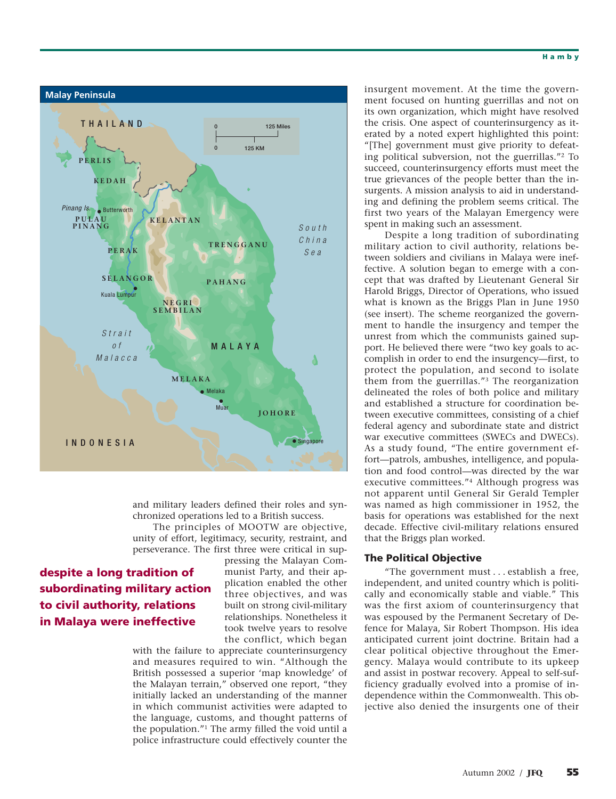

and military leaders defined their roles and synchronized operations led to a British success.

The principles of MOOTW are objective, unity of effort, legitimacy, security, restraint, and perseverance. The first three were critical in sup-

# **despite a long tradition of subordinating military action to civil authority, relations in Malaya were ineffective**

pressing the Malayan Communist Party, and their application enabled the other three objectives, and was built on strong civil-military relationships. Nonetheless it took twelve years to resolve the conflict, which began

with the failure to appreciate counterinsurgency and measures required to win. "Although the British possessed a superior 'map knowledge' of the Malayan terrain," observed one report, "they initially lacked an understanding of the manner in which communist activities were adapted to the language, customs, and thought patterns of the population."1 The army filled the void until a police infrastructure could effectively counter the

insurgent movement. At the time the government focused on hunting guerrillas and not on its own organization, which might have resolved the crisis. One aspect of counterinsurgency as iterated by a noted expert highlighted this point: "[The] government must give priority to defeating political subversion, not the guerrillas."2 To succeed, counterinsurgency efforts must meet the true grievances of the people better than the insurgents. A mission analysis to aid in understanding and defining the problem seems critical. The first two years of the Malayan Emergency were spent in making such an assessment.

Despite a long tradition of subordinating military action to civil authority, relations between soldiers and civilians in Malaya were ineffective. A solution began to emerge with a concept that was drafted by Lieutenant General Sir Harold Briggs, Director of Operations, who issued what is known as the Briggs Plan in June 1950 (see insert). The scheme reorganized the government to handle the insurgency and temper the unrest from which the communists gained support. He believed there were "two key goals to accomplish in order to end the insurgency—first, to protect the population, and second to isolate them from the guerrillas."3 The reorganization delineated the roles of both police and military and established a structure for coordination between executive committees, consisting of a chief federal agency and subordinate state and district war executive committees (SWECs and DWECs). As a study found, "The entire government effort—patrols, ambushes, intelligence, and population and food control—was directed by the war executive committees."4 Although progress was not apparent until General Sir Gerald Templer was named as high commissioner in 1952, the basis for operations was established for the next decade. Effective civil-military relations ensured that the Briggs plan worked.

# **The Political Objective**

"The government must... establish a free, independent, and united country which is politically and economically stable and viable." This was the first axiom of counterinsurgency that was espoused by the Permanent Secretary of Defence for Malaya, Sir Robert Thompson. His idea anticipated current joint doctrine. Britain had a clear political objective throughout the Emergency. Malaya would contribute to its upkeep and assist in postwar recovery. Appeal to self-sufficiency gradually evolved into a promise of independence within the Commonwealth. This objective also denied the insurgents one of their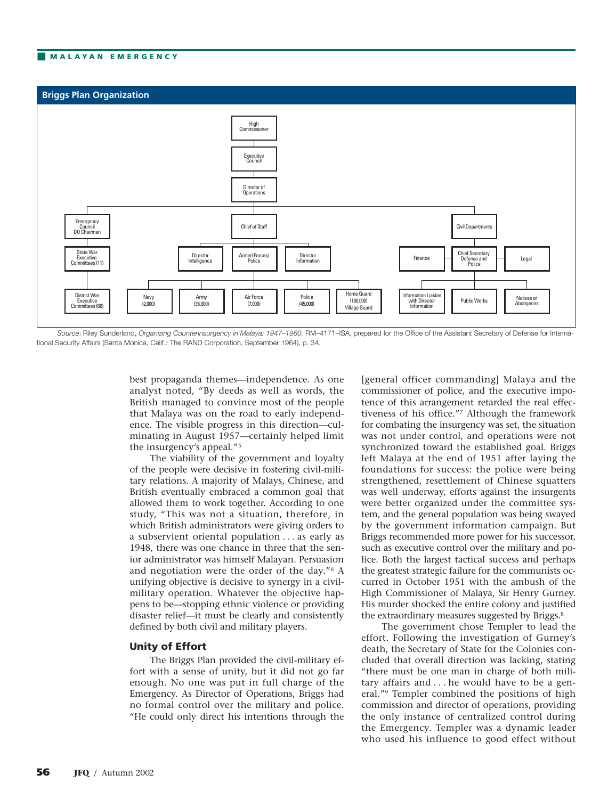# ■ **MALAYAN EMERGENCY**



*Source*: Riley Sunderland, *Organizing Counterinsurgency in Malaya: 1947–1960,* RM–4171–ISA, prepared for the Office of the Assistant Secretary of Defense for International Security Affairs (Santa Monica, Calif.: The RAND Corporation, September 1964), p. 34.

best propaganda themes—independence. As one analyst noted, "By deeds as well as words, the British managed to convince most of the people that Malaya was on the road to early independence. The visible progress in this direction—culminating in August 1957—certainly helped limit the insurgency's appeal."5

The viability of the government and loyalty of the people were decisive in fostering civil-military relations. A majority of Malays, Chinese, and British eventually embraced a common goal that allowed them to work together. According to one study, "This was not a situation, therefore, in which British administrators were giving orders to a subservient oriental population . . . as early as 1948, there was one chance in three that the senior administrator was himself Malayan. Persuasion and negotiation were the order of the day."6 A unifying objective is decisive to synergy in a civilmilitary operation. Whatever the objective happens to be—stopping ethnic violence or providing disaster relief—it must be clearly and consistently defined by both civil and military players.

# **Unity of Effort**

The Briggs Plan provided the civil-military effort with a sense of unity, but it did not go far enough. No one was put in full charge of the Emergency. As Director of Operations, Briggs had no formal control over the military and police. "He could only direct his intentions through the [general officer commanding] Malaya and the commissioner of police, and the executive impotence of this arrangement retarded the real effectiveness of his office."7 Although the framework for combating the insurgency was set, the situation was not under control, and operations were not synchronized toward the established goal. Briggs left Malaya at the end of 1951 after laying the foundations for success: the police were being strengthened, resettlement of Chinese squatters was well underway, efforts against the insurgents were better organized under the committee system, and the general population was being swayed by the government information campaign. But Briggs recommended more power for his successor, such as executive control over the military and police. Both the largest tactical success and perhaps the greatest strategic failure for the communists occurred in October 1951 with the ambush of the High Commissioner of Malaya, Sir Henry Gurney. His murder shocked the entire colony and justified the extraordinary measures suggested by Briggs.<sup>8</sup>

The government chose Templer to lead the effort. Following the investigation of Gurney's death, the Secretary of State for the Colonies concluded that overall direction was lacking, stating "there must be one man in charge of both military affairs and . . . he would have to be a general."9 Templer combined the positions of high commission and director of operations, providing the only instance of centralized control during the Emergency. Templer was a dynamic leader who used his influence to good effect without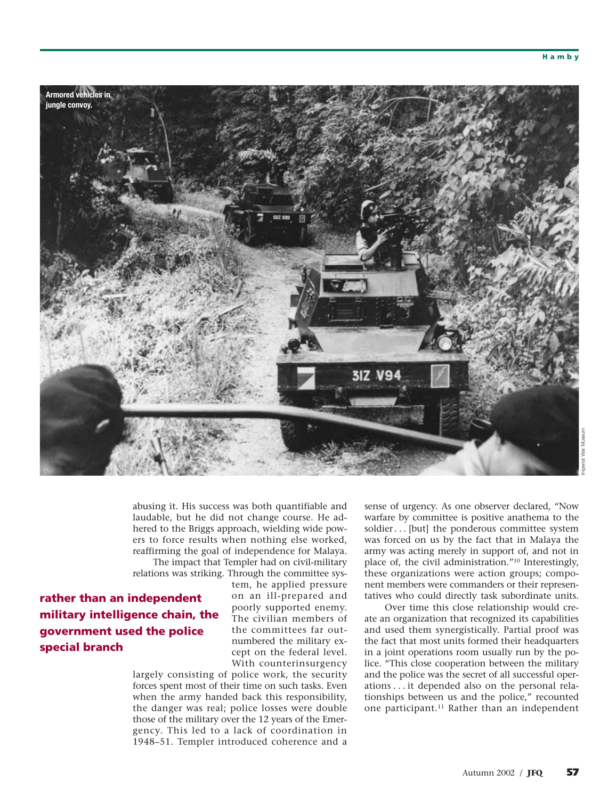

abusing it. His success was both quantifiable and laudable, but he did not change course. He adhered to the Briggs approach, wielding wide powers to force results when nothing else worked, reaffirming the goal of independence for Malaya.

The impact that Templer had on civil-military relations was striking. Through the committee sys-

**rather than an independent military intelligence chain, the government used the police special branch**

tem, he applied pressure on an ill-prepared and poorly supported enemy. The civilian members of the committees far outnumbered the military except on the federal level. With counterinsurgency

largely consisting of police work, the security forces spent most of their time on such tasks. Even when the army handed back this responsibility, the danger was real; police losses were double those of the military over the 12 years of the Emergency. This led to a lack of coordination in 1948–51. Templer introduced coherence and a

sense of urgency. As one observer declared, "Now warfare by committee is positive anathema to the soldier... [but] the ponderous committee system was forced on us by the fact that in Malaya the army was acting merely in support of, and not in place of, the civil administration."10 Interestingly, these organizations were action groups; component members were commanders or their representatives who could directly task subordinate units.

Over time this close relationship would create an organization that recognized its capabilities and used them synergistically. Partial proof was the fact that most units formed their headquarters in a joint operations room usually run by the police. "This close cooperation between the military and the police was the secret of all successful operations . . . it depended also on the personal relationships between us and the police," recounted one participant.11 Rather than an independent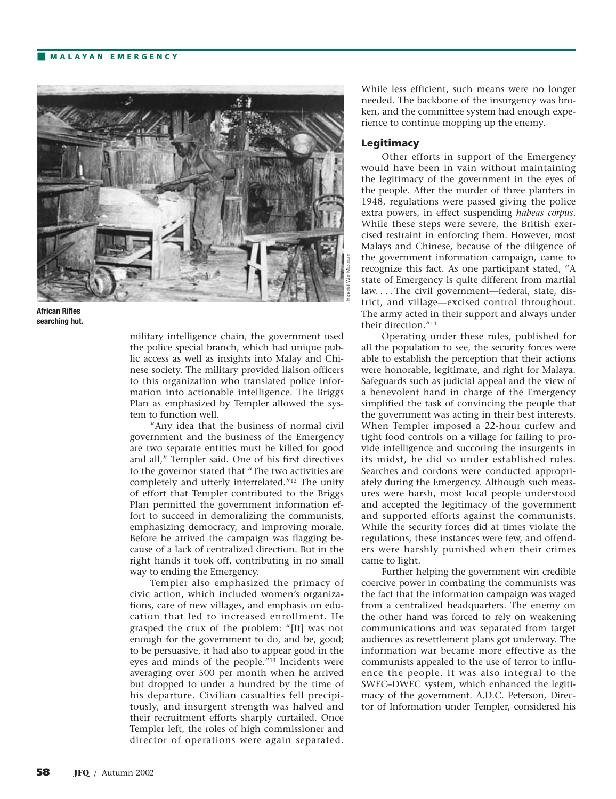## ■ **MALAYAN EMERGENCY**



**African Rifles searching hut.**

military intelligence chain, the government used the police special branch, which had unique public access as well as insights into Malay and Chinese society. The military provided liaison officers to this organization who translated police information into actionable intelligence. The Briggs Plan as emphasized by Templer allowed the system to function well.

"Any idea that the business of normal civil government and the business of the Emergency are two separate entities must be killed for good and all," Templer said. One of his first directives to the governor stated that "The two activities are completely and utterly interrelated."12 The unity of effort that Templer contributed to the Briggs Plan permitted the government information effort to succeed in demoralizing the communists, emphasizing democracy, and improving morale. Before he arrived the campaign was flagging because of a lack of centralized direction. But in the right hands it took off, contributing in no small way to ending the Emergency.

Templer also emphasized the primacy of civic action, which included women's organizations, care of new villages, and emphasis on education that led to increased enrollment. He grasped the crux of the problem: "[It] was not enough for the government to do, and be, good; to be persuasive, it had also to appear good in the eyes and minds of the people."13 Incidents were averaging over 500 per month when he arrived but dropped to under a hundred by the time of his departure. Civilian casualties fell precipitously, and insurgent strength was halved and their recruitment efforts sharply curtailed. Once Templer left, the roles of high commissioner and director of operations were again separated.

While less efficient, such means were no longer needed. The backbone of the insurgency was broken, and the committee system had enough experience to continue mopping up the enemy.

## **Legitimacy**

Other efforts in support of the Emergency would have been in vain without maintaining the legitimacy of the government in the eyes of the people. After the murder of three planters in 1948, regulations were passed giving the police extra powers, in effect suspending *habeas corpus*. While these steps were severe, the British exercised restraint in enforcing them. However, most Malays and Chinese, because of the diligence of the government information campaign, came to recognize this fact. As one participant stated, "A state of Emergency is quite different from martial law.... The civil government—federal, state, district, and village—excised control throughout. The army acted in their support and always under their direction."14

Operating under these rules, published for all the population to see, the security forces were able to establish the perception that their actions were honorable, legitimate, and right for Malaya. Safeguards such as judicial appeal and the view of a benevolent hand in charge of the Emergency simplified the task of convincing the people that the government was acting in their best interests. When Templer imposed a 22-hour curfew and tight food controls on a village for failing to provide intelligence and succoring the insurgents in its midst, he did so under established rules. Searches and cordons were conducted appropriately during the Emergency. Although such measures were harsh, most local people understood and accepted the legitimacy of the government and supported efforts against the communists. While the security forces did at times violate the regulations, these instances were few, and offenders were harshly punished when their crimes came to light.

Further helping the government win credible coercive power in combating the communists was the fact that the information campaign was waged from a centralized headquarters. The enemy on the other hand was forced to rely on weakening communications and was separated from target audiences as resettlement plans got underway. The information war became more effective as the communists appealed to the use of terror to influence the people. It was also integral to the SWEC–DWEC system, which enhanced the legitimacy of the government. A.D.C. Peterson, Director of Information under Templer, considered his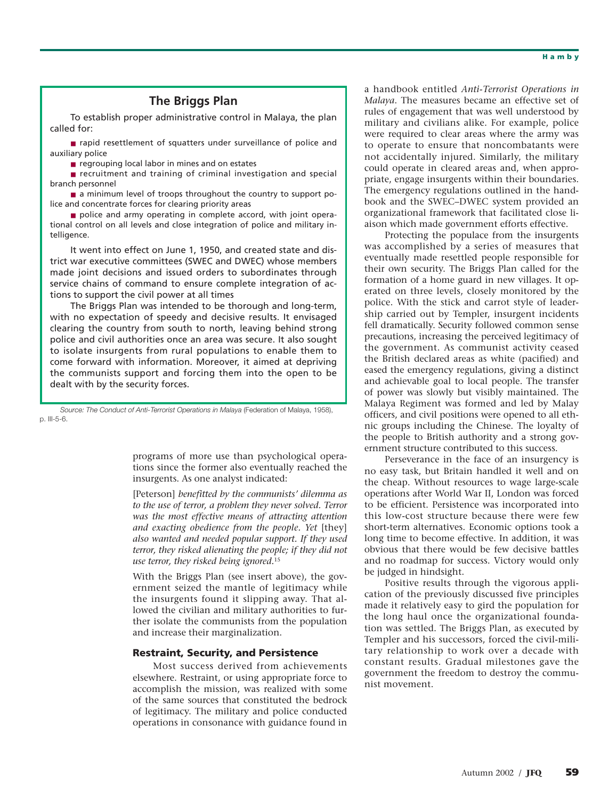# **The Briggs Plan**

To establish proper administrative control in Malaya, the plan called for:

■ rapid resettlement of squatters under surveillance of police and auxiliary police

■ regrouping local labor in mines and on estates

■ recruitment and training of criminal investigation and special branch personnel

■ a minimum level of troops throughout the country to support police and concentrate forces for clearing priority areas

■ police and army operating in complete accord, with joint operational control on all levels and close integration of police and military intelligence.

It went into effect on June 1, 1950, and created state and district war executive committees (SWEC and DWEC) whose members made joint decisions and issued orders to subordinates through service chains of command to ensure complete integration of actions to support the civil power at all times

The Briggs Plan was intended to be thorough and long-term, with no expectation of speedy and decisive results. It envisaged clearing the country from south to north, leaving behind strong police and civil authorities once an area was secure. It also sought to isolate insurgents from rural populations to enable them to come forward with information. Moreover, it aimed at depriving the communists support and forcing them into the open to be dealt with by the security forces.

*Source: The Conduct of Anti-Terrorist Operations in Malaya* (Federation of Malaya, 1958), p. III-5-6.

> programs of more use than psychological operations since the former also eventually reached the insurgents. As one analyst indicated:

> [Peterson] *benefitted by the communists' dilemma as to the use of terror, a problem they never solved. Terror was the most effective means of attracting attention and exacting obedience from the people. Yet* [they] *also wanted and needed popular support. If they used terror, they risked alienating the people; if they did not use terror, they risked being ignored.*<sup>15</sup>

> With the Briggs Plan (see insert above), the government seized the mantle of legitimacy while the insurgents found it slipping away. That allowed the civilian and military authorities to further isolate the communists from the population and increase their marginalization.

# **Restraint, Security, and Persistence**

Most success derived from achievements elsewhere. Restraint, or using appropriate force to accomplish the mission, was realized with some of the same sources that constituted the bedrock of legitimacy. The military and police conducted operations in consonance with guidance found in

a handbook entitled *Anti-Terrorist Operations in Malaya*. The measures became an effective set of rules of engagement that was well understood by military and civilians alike. For example, police were required to clear areas where the army was to operate to ensure that noncombatants were not accidentally injured. Similarly, the military could operate in cleared areas and, when appropriate, engage insurgents within their boundaries. The emergency regulations outlined in the handbook and the SWEC–DWEC system provided an organizational framework that facilitated close liaison which made government efforts effective.

Protecting the populace from the insurgents was accomplished by a series of measures that eventually made resettled people responsible for their own security. The Briggs Plan called for the formation of a home guard in new villages. It operated on three levels, closely monitored by the police. With the stick and carrot style of leadership carried out by Templer, insurgent incidents fell dramatically. Security followed common sense precautions, increasing the perceived legitimacy of the government. As communist activity ceased the British declared areas as white (pacified) and eased the emergency regulations, giving a distinct and achievable goal to local people. The transfer of power was slowly but visibly maintained. The Malaya Regiment was formed and led by Malay officers, and civil positions were opened to all ethnic groups including the Chinese. The loyalty of the people to British authority and a strong government structure contributed to this success.

Perseverance in the face of an insurgency is no easy task, but Britain handled it well and on the cheap. Without resources to wage large-scale operations after World War II, London was forced to be efficient. Persistence was incorporated into this low-cost structure because there were few short-term alternatives. Economic options took a long time to become effective. In addition, it was obvious that there would be few decisive battles and no roadmap for success. Victory would only be judged in hindsight.

Positive results through the vigorous application of the previously discussed five principles made it relatively easy to gird the population for the long haul once the organizational foundation was settled. The Briggs Plan, as executed by Templer and his successors, forced the civil-military relationship to work over a decade with constant results. Gradual milestones gave the government the freedom to destroy the communist movement.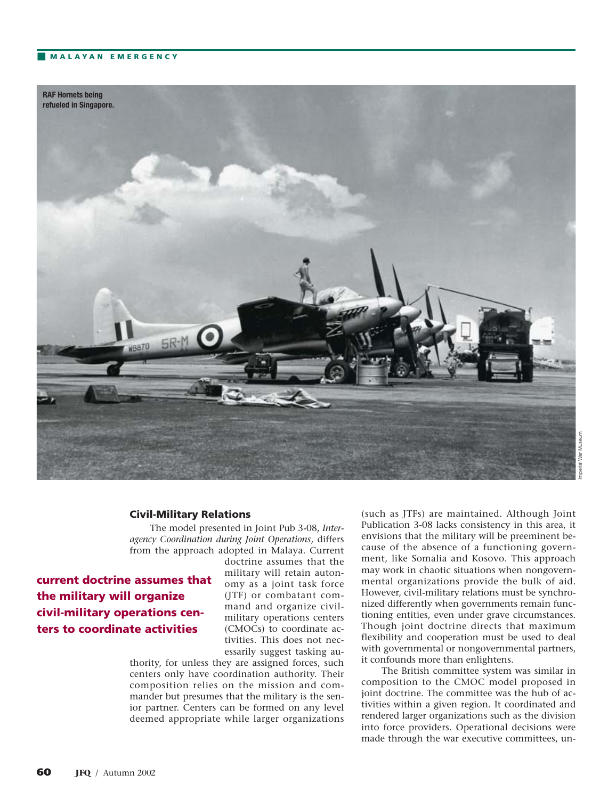# ■ **MALAYAN EMERGENCY**



#### **Civil-Military Relations**

The model presented in Joint Pub 3-08, *Interagency Coordination during Joint Operations*, differs from the approach adopted in Malaya. Current

# **current doctrine assumes that the military will organize civil-military operations centers to coordinate activities**

doctrine assumes that the military will retain autonomy as a joint task force (JTF) or combatant command and organize civilmilitary operations centers (CMOCs) to coordinate activities. This does not necessarily suggest tasking au-

thority, for unless they are assigned forces, such centers only have coordination authority. Their composition relies on the mission and commander but presumes that the military is the senior partner. Centers can be formed on any level deemed appropriate while larger organizations

(such as JTFs) are maintained. Although Joint Publication 3-08 lacks consistency in this area, it envisions that the military will be preeminent because of the absence of a functioning government, like Somalia and Kosovo. This approach may work in chaotic situations when nongovernmental organizations provide the bulk of aid. However, civil-military relations must be synchronized differently when governments remain functioning entities, even under grave circumstances. Though joint doctrine directs that maximum flexibility and cooperation must be used to deal with governmental or nongovernmental partners, it confounds more than enlightens.

The British committee system was similar in composition to the CMOC model proposed in joint doctrine. The committee was the hub of activities within a given region. It coordinated and rendered larger organizations such as the division into force providers. Operational decisions were made through the war executive committees, un-